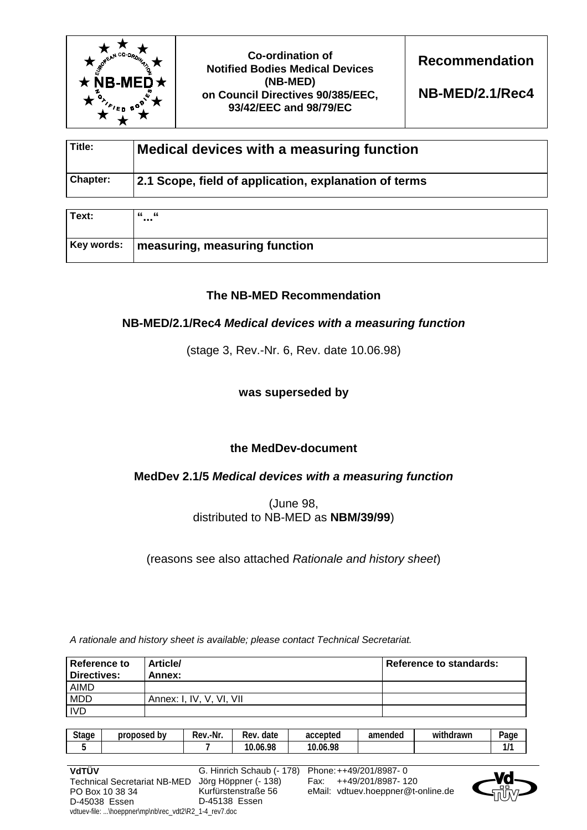

**Co-ordination of Notified Bodies Medical Devices (NB-MED) on Council Directives 90/385/EEC, 93/42/EEC and 98/79/EC** 

**Recommendation** 

**NB-MED/2.1/Rec4** 

| Title:          | Medical devices with a measuring function             |  |
|-----------------|-------------------------------------------------------|--|
| <b>Chapter:</b> | 2.1 Scope, field of application, explanation of terms |  |

| Text: | - 66<br>"<br>                                          |
|-------|--------------------------------------------------------|
|       | $\mid$ Key words: $\mid$ measuring, measuring function |

# **The NB-MED Recommendation**

# **NB-MED/2.1/Rec4** *Medical devices with a measuring function*

(stage 3, Rev.-Nr. 6, Rev. date 10.06.98)

**was superseded by** 

# **the MedDev-document**

# **MedDev 2.1/5** *Medical devices with a measuring function*

(June 98, distributed to NB-MED as **NBM/39/99**)

(reasons see also attached *Rationale and history sheet*)

*A rationale and history sheet is available; please contact Technical Secretariat.* 

| <b>Reference to</b><br><b>Directives:</b> | <b>Article/</b><br>Annex: | Reference to standards: |
|-------------------------------------------|---------------------------|-------------------------|
| <b>AIMD</b>                               |                           |                         |
| MDD                                       | Annex: I, IV, V, VI, VII  |                         |
| <b>IVD</b>                                |                           |                         |

| <b>Stage</b> | ' bv<br>proposed | -Nr.<br>Rev. | date<br><b>Rev</b> | accepted | amended | .<br>withdrawn | Page |
|--------------|------------------|--------------|--------------------|----------|---------|----------------|------|
|              |                  |              | 10.06.98<br>10     | 10.06.98 |         |                | .,   |

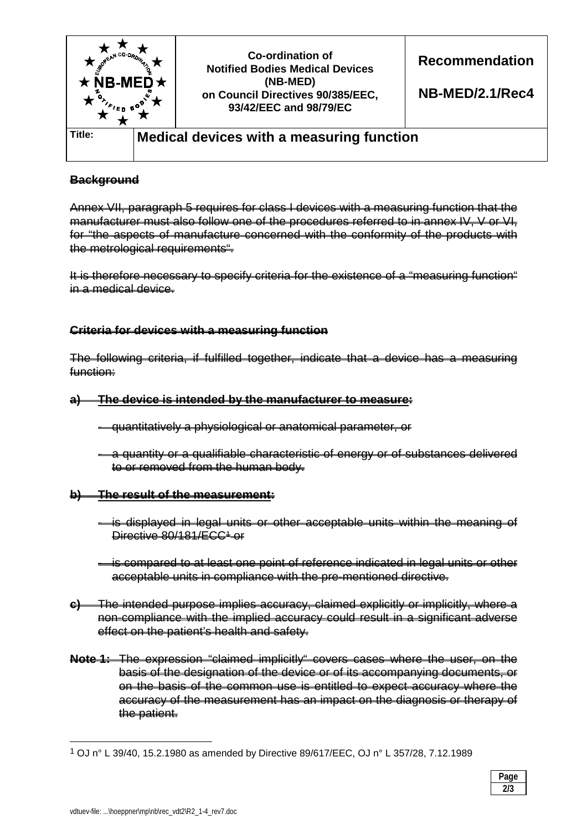

## **Background**

Annex VII, paragraph 5 requires for class I devices with a measuring function that the manufacturer must also follow one of the procedures referred to in annex IV, V or VI, for "the aspects of manufacture concerned with the conformity of the products with the metrological requirements".

It is therefore necessary to specify criteria for the existence of a "measuring function" in a medical device.

### **Criteria for devices with a measuring function**

The following criteria, if fulfilled together, indicate that a device has a measuring function:

- **a) The device is intended by the manufacturer to measure:**
	- quantitatively a physiological or anatomical parameter, or
	- a quantity or a qualifiable characteristic of energy or of substances delivered to or removed from the human body.

#### **b) The result of the measurement:**

- is displayed in legal units or other acceptable units within the meaning of Directive 80/181/ECC<sup>1</sup>-or
- is compared to at least one point of reference indicated in legal units or other acceptable units in compliance with the pre-mentioned directive.
- **c)** The intended purpose implies accuracy, claimed explicitly or implicitly, where a non-compliance with the implied accuracy could result in a significant adverse effect on the patient's health and safety.
- **Note 1:** The expression "claimed implicitly" covers cases where the user, on the basis of the designation of the device or of its accompanying documents, or on the basis of the common use is entitled to expect accuracy where the accuracy of the measurement has an impact on the diagnosis or therapy of the patient.

 $\overline{a}$ 

<sup>1</sup> OJ n° L 39/40, 15.2.1980 as amended by Directive 89/617/EEC, OJ n° L 357/28, 7.12.1989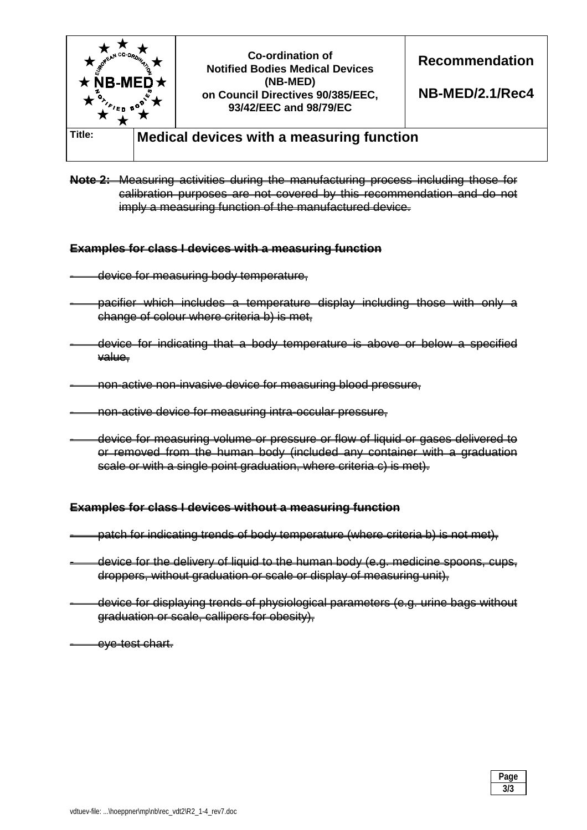

**Note 2:** Measuring activities during the manufacturing process including those for calibration purposes are not covered by this recommendation and do not imply a measuring function of the manufactured device.

#### **Examples for class I devices with a measuring function**

- device for measuring body temperature,
- pacifier which includes a temperature display including those with only a change of colour where criteria b) is met,
- device for indicating that a body temperature is above or below a specified value,
- non-active non-invasive device for measuring blood pressure,
- non-active device for measuring intra-occular pressure,
- device for measuring volume or pressure or flow of liquid or gases delivered to or removed from the human body (included any container with a graduation scale or with a single point graduation, where criteria c) is met).

#### **Examples for class I devices without a measuring function**

- patch for indicating trends of body temperature (where criteria b) is not met),
- device for the delivery of liquid to the human body (e.g. medicine spoons, cups, droppers, without graduation or scale or display of measuring unit),
	- device for displaying trends of physiological parameters (e.g. urine bags without graduation or scale, callipers for obesity),

- eye-test chart.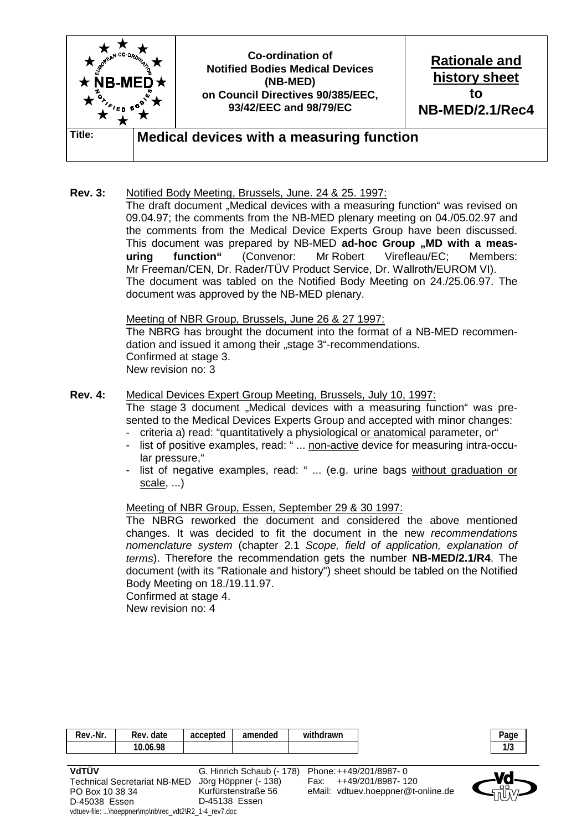

**Rev. 3:** Notified Body Meeting, Brussels, June. 24 & 25. 1997: The draft document "Medical devices with a measuring function" was revised on 09.04.97; the comments from the NB-MED plenary meeting on 04./05.02.97 and the comments from the Medical Device Experts Group have been discussed. This document was prepared by NB-MED ad-hoc Group "MD with a meas**uring function"** (Convenor: Mr Robert Virefleau/EC; Members: Mr Freeman/CEN, Dr. Rader/TÜV Product Service, Dr. Wallroth/EUROM VI). The document was tabled on the Notified Body Meeting on 24./25.06.97. The document was approved by the NB-MED plenary.

> Meeting of NBR Group, Brussels, June 26 & 27 1997: The NBRG has brought the document into the format of a NB-MED recommendation and issued it among their "stage 3"-recommendations. Confirmed at stage 3. New revision no: 3

- **Rev. 4:** Medical Devices Expert Group Meeting, Brussels, July 10, 1997: The stage 3 document "Medical devices with a measuring function" was pre
	- sented to the Medical Devices Experts Group and accepted with minor changes:
	- criteria a) read: "quantitatively a physiological or anatomical parameter, or"
	- list of positive examples, read: " ... non-active device for measuring intra-occular pressure,"
	- list of negative examples, read: " ... (e.g. urine bags without graduation or scale, ...)

#### Meeting of NBR Group, Essen, September 29 & 30 1997:

 The NBRG reworked the document and considered the above mentioned changes. It was decided to fit the document in the new *recommendations nomenclature system* (chapter 2.1 *Scope, field of application, explanation of terms*). Therefore the recommendation gets the number **NB-MED/2.1/R4**. The document (with its "Rationale and history") sheet should be tabled on the Notified Body Meeting on 18./19.11.97.

Confirmed at stage 4.

New revision no: 4

D-45038 Essen

vdtuev-file: ...\hoeppner\mp\nb\rec\_vdt2\R2\_1-4\_rev7.doc

| Rev.-Nr.                                                                                                                                                                                                                                                                                                                           | Rev. date | accepted         | amended                   | withdrawn |                                    | Page |
|------------------------------------------------------------------------------------------------------------------------------------------------------------------------------------------------------------------------------------------------------------------------------------------------------------------------------------|-----------|------------------|---------------------------|-----------|------------------------------------|------|
|                                                                                                                                                                                                                                                                                                                                    | 10.06.98  |                  |                           |           |                                    | 1/3  |
|                                                                                                                                                                                                                                                                                                                                    |           |                  |                           |           |                                    |      |
| VdTÜV                                                                                                                                                                                                                                                                                                                              |           |                  | G. Hinrich Schaub (- 178) |           | Phone: ++49/201/8987-0             |      |
| <b>Technical Secretariat NB-MED</b>                                                                                                                                                                                                                                                                                                |           |                  | Jörg Höppner (- 138)      |           | ++49/201/8987-120                  |      |
| PO Box 10 38 34                                                                                                                                                                                                                                                                                                                    |           |                  | Kurfürstenstraße 56       |           | eMail: vdtuev.hoeppner@t-online.de |      |
| $\mathbf{R}$ $\mathbf{R}$ $\mathbf{R}$ $\mathbf{R}$ $\mathbf{R}$ $\mathbf{R}$ $\mathbf{R}$ $\mathbf{R}$ $\mathbf{R}$ $\mathbf{R}$ $\mathbf{R}$ $\mathbf{R}$ $\mathbf{R}$ $\mathbf{R}$ $\mathbf{R}$ $\mathbf{R}$ $\mathbf{R}$ $\mathbf{R}$ $\mathbf{R}$ $\mathbf{R}$ $\mathbf{R}$ $\mathbf{R}$ $\mathbf{R}$ $\mathbf{R}$ $\mathbf{$ |           | $\sum_{i=1}^{n}$ |                           |           |                                    |      |

D-45138 Essen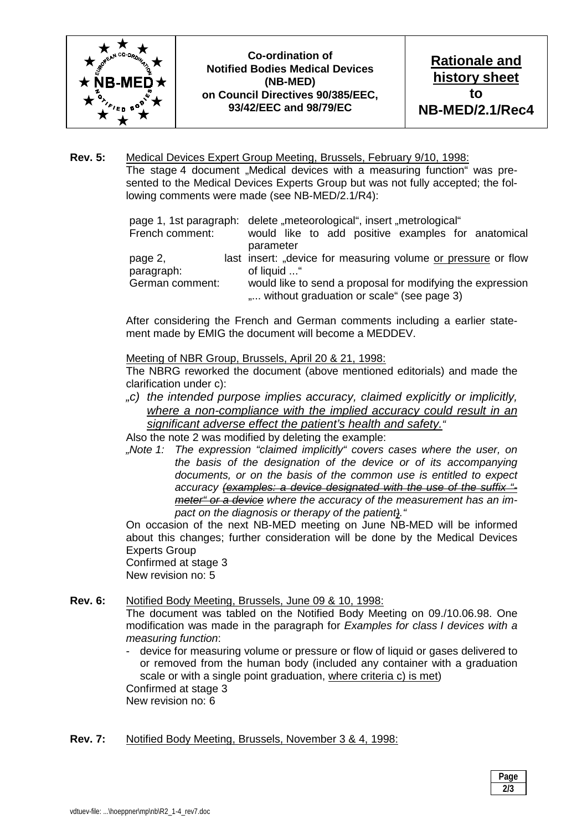

**Co-ordination of Notified Bodies Medical Devices (NB-MED) on Council Directives 90/385/EEC, 93/42/EEC and 98/79/EC** 

**Rev. 5:** Medical Devices Expert Group Meeting, Brussels, February 9/10, 1998: The stage 4 document "Medical devices with a measuring function" was presented to the Medical Devices Experts Group but was not fully accepted; the following comments were made (see NB-MED/2.1/R4):

|                 | page 1, 1st paragraph: delete "meteorological", insert "metrological" |
|-----------------|-----------------------------------------------------------------------|
| French comment: | would like to add positive examples for anatomical                    |
|                 | parameter                                                             |
| page 2,         | last insert: "device for measuring volume or pressure or flow         |
| paragraph:      | of liquid "                                                           |
| German comment: | would like to send a proposal for modifying the expression            |
|                 | " without graduation or scale" (see page 3)                           |

 After considering the French and German comments including a earlier statement made by EMIG the document will become a MEDDEV.

Meeting of NBR Group, Brussels, April 20 & 21, 1998:

 The NBRG reworked the document (above mentioned editorials) and made the clarification under c):

*"c) the intended purpose implies accuracy, claimed explicitly or implicitly, where a non-compliance with the implied accuracy could result in an significant adverse effect the patient's health and safety."* 

Also the note 2 was modified by deleting the example:

*"Note 1: The expression "claimed implicitly" covers cases where the user, on the basis of the designation of the device or of its accompanying documents, or on the basis of the common use is entitled to expect accuracy (examples: a device designated with the use of the suffix " meter" or a device where the accuracy of the measurement has an impact on the diagnosis or therapy of the patient)."* 

 On occasion of the next NB-MED meeting on June NB-MED will be informed about this changes; further consideration will be done by the Medical Devices Experts Group

 Confirmed at stage 3 New revision no: 5

#### **Rev. 6:** Notified Body Meeting, Brussels, June 09 & 10, 1998:

 The document was tabled on the Notified Body Meeting on 09./10.06.98. One modification was made in the paragraph for *Examples for class I devices with a measuring function*:

device for measuring volume or pressure or flow of liquid or gases delivered to or removed from the human body (included any container with a graduation scale or with a single point graduation, where criteria c) is met)

 Confirmed at stage 3 New revision no: 6

#### **Rev. 7:** Notified Body Meeting, Brussels, November 3 & 4, 1998: